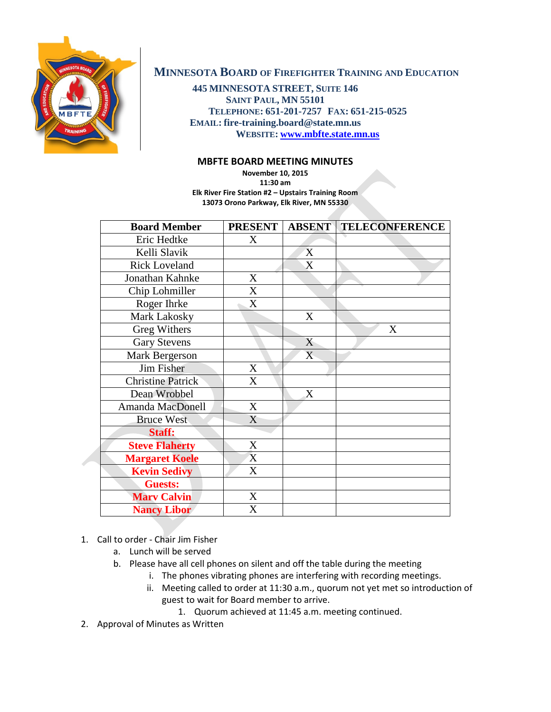

## **MINNESOTA BOARD OF FIREFIGHTER TRAINING AND EDUCATION**

**445 MINNESOTA STREET, SUITE 146 SAINT PAUL, MN 55101 TELEPHONE: 651-201-7257 FAX: 651-215-0525 EMAIL: fire-training.board@state.mn.us WEBSITE: [www.mbfte.state.mn.us](http://www.mbfte.state.mn.us/)**

## **MBFTE BOARD MEETING MINUTES**

**November 10, 2015 11:30 am Elk River Fire Station #2 – Upstairs Training Room 13073 Orono Parkway, Elk River, MN 55330**

| <b>Board Member</b>      | <b>PRESENT</b> | <b>ABSENT</b> | <b>TELECONFERENCE</b> |
|--------------------------|----------------|---------------|-----------------------|
| Eric Hedtke              | X              |               |                       |
| Kelli Slavik             |                | X             |                       |
| <b>Rick Loveland</b>     |                | X             |                       |
| Jonathan Kahnke          | X              |               |                       |
| Chip Lohmiller           | X              |               |                       |
| Roger Ihrke              | X              |               |                       |
| Mark Lakosky             |                | X             |                       |
| Greg Withers             |                |               | X                     |
| <b>Gary Stevens</b>      |                | X             |                       |
| Mark Bergerson           |                | X             |                       |
| Jim Fisher               | X              |               |                       |
| <b>Christine Patrick</b> | $\mathbf{X}$   |               |                       |
| Dean Wrobbel             |                | X             |                       |
| Amanda MacDonell         | X              |               |                       |
| <b>Bruce West</b>        | X              |               |                       |
| Staff:                   |                |               |                       |
| <b>Steve Flaherty</b>    | X              |               |                       |
| <b>Margaret Koele</b>    | X              |               |                       |
| <b>Kevin Sedivy</b>      | X              |               |                       |
| <b>Guests:</b>           |                |               |                       |
| <b>Mary Calvin</b>       | X              |               |                       |
| <b>Nancy Libor</b>       | X              |               |                       |

## 1. Call to order - Chair Jim Fisher

- a. Lunch will be served
- b. Please have all cell phones on silent and off the table during the meeting
	- i. The phones vibrating phones are interfering with recording meetings.
		- ii. Meeting called to order at 11:30 a.m., quorum not yet met so introduction of guest to wait for Board member to arrive.
			- 1. Quorum achieved at 11:45 a.m. meeting continued.
- 2. Approval of Minutes as Written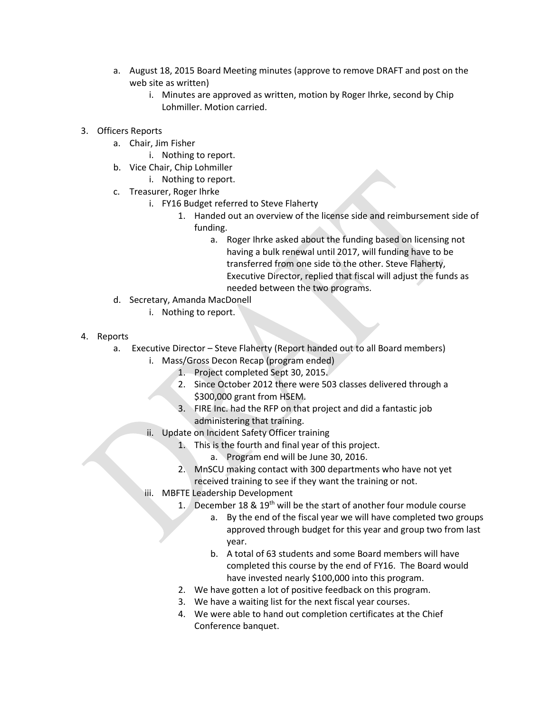- a. August 18, 2015 Board Meeting minutes (approve to remove DRAFT and post on the web site as written)
	- i. Minutes are approved as written, motion by Roger Ihrke, second by Chip Lohmiller. Motion carried.
- 3. Officers Reports
	- a. Chair, Jim Fisher
		- i. Nothing to report.
	- b. Vice Chair, Chip Lohmiller
		- i. Nothing to report.
	- c. Treasurer, Roger Ihrke
		- i. FY16 Budget referred to Steve Flaherty
			- 1. Handed out an overview of the license side and reimbursement side of funding.
				- a. Roger Ihrke asked about the funding based on licensing not having a bulk renewal until 2017, will funding have to be transferred from one side to the other. Steve Flaherty, Executive Director, replied that fiscal will adjust the funds as needed between the two programs.
	- d. Secretary, Amanda MacDonell
		- i. Nothing to report.
- 4. Reports
	- a. Executive Director Steve Flaherty (Report handed out to all Board members)
		- i. Mass/Gross Decon Recap (program ended)
			- 1. Project completed Sept 30, 2015.
			- 2. Since October 2012 there were 503 classes delivered through a \$300,000 grant from HSEM.
			- 3. FIRE Inc. had the RFP on that project and did a fantastic job administering that training.
		- ii. Update on Incident Safety Officer training
			- 1. This is the fourth and final year of this project.
				- a. Program end will be June 30, 2016.
			- 2. MnSCU making contact with 300 departments who have not yet received training to see if they want the training or not.
		- iii. MBFTE Leadership Development
			- 1. December 18 & 19<sup>th</sup> will be the start of another four module course
				- a. By the end of the fiscal year we will have completed two groups approved through budget for this year and group two from last year.
				- b. A total of 63 students and some Board members will have completed this course by the end of FY16. The Board would have invested nearly \$100,000 into this program.
			- 2. We have gotten a lot of positive feedback on this program.
			- 3. We have a waiting list for the next fiscal year courses.
			- 4. We were able to hand out completion certificates at the Chief Conference banquet.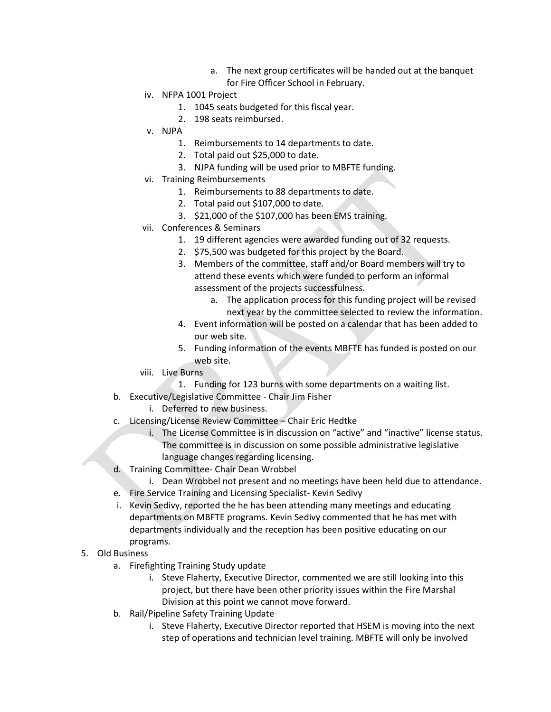- a. The next group certificates will be handed out at the banquet for Fire Officer School in February.
- iv. NFPA 1001 Project
	- 1. 1045 seats budgeted for this fiscal year.
	- 2. 198 seats reimbursed.
- v. NJPA
	- 1. Reimbursements to 14 departments to date.
	- 2. Total paid out \$25,000 to date.
	- 3. NJPA funding will be used prior to MBFTE funding.
- vi. Training Reimbursements
	- 1. Reimbursements to 88 departments to date.
	- 2. Total paid out \$107,000 to date.
	- 3. \$21,000 of the \$107,000 has been EMS training.
- vii. Conferences & Seminars
	- 1. 19 different agencies were awarded funding out of 32 requests.
	- 2. \$75,500 was budgeted for this project by the Board.
	- 3. Members of the committee, staff and/or Board members will try to attend these events which were funded to perform an informal assessment of the projects successfulness.
		- a. The application process for this funding project will be revised next year by the committee selected to review the information.
	- 4. Event information will be posted on a calendar that has been added to our web site.
	- 5. Funding information of the events MBFTE has funded is posted on our web site.
- viii. Live Burns
	- 1. Funding for 123 burns with some departments on a waiting list.
- b. Executive/Legislative Committee Chair Jim Fisher
	- i. Deferred to new business.
- c. Licensing/License Review Committee Chair Eric Hedtke
	- i. The License Committee is in discussion on "active" and "inactive" license status. The committee is in discussion on some possible administrative legislative language changes regarding licensing.
- d. Training Committee- Chair Dean Wrobbel
	- i. Dean Wrobbel not present and no meetings have been held due to attendance.
- e. Fire Service Training and Licensing Specialist- Kevin Sedivy
- i. Kevin Sedivy, reported the he has been attending many meetings and educating departments on MBFTE programs. Kevin Sedivy commented that he has met with departments individually and the reception has been positive educating on our programs.
- 5. Old Business
	- a. Firefighting Training Study update
		- i. Steve Flaherty, Executive Director, commented we are still looking into this project, but there have been other priority issues within the Fire Marshal Division at this point we cannot move forward.
	- b. Rail/Pipeline Safety Training Update
		- i. Steve Flaherty, Executive Director reported that HSEM is moving into the next step of operations and technician level training. MBFTE will only be involved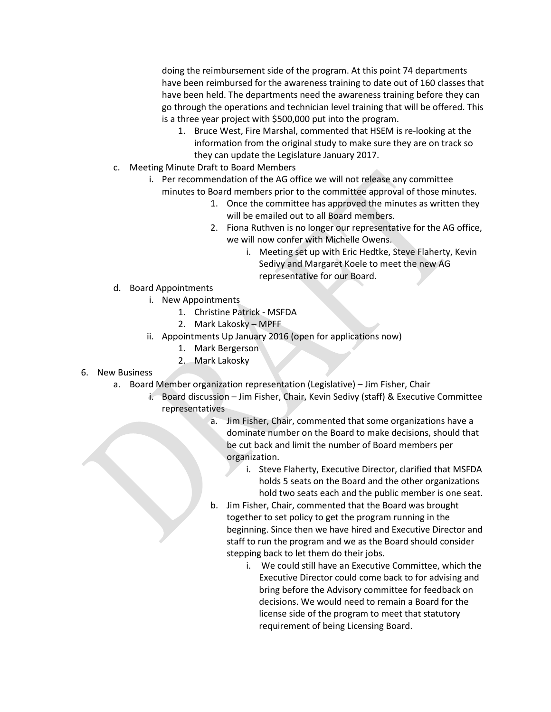doing the reimbursement side of the program. At this point 74 departments have been reimbursed for the awareness training to date out of 160 classes that have been held. The departments need the awareness training before they can go through the operations and technician level training that will be offered. This is a three year project with \$500,000 put into the program.

- 1. Bruce West, Fire Marshal, commented that HSEM is re-looking at the information from the original study to make sure they are on track so they can update the Legislature January 2017.
- c. Meeting Minute Draft to Board Members
	- i. Per recommendation of the AG office we will not release any committee
		- minutes to Board members prior to the committee approval of those minutes.
			- 1. Once the committee has approved the minutes as written they will be emailed out to all Board members.
			- 2. Fiona Ruthven is no longer our representative for the AG office, we will now confer with Michelle Owens.
				- i. Meeting set up with Eric Hedtke, Steve Flaherty, Kevin Sedivy and Margaret Koele to meet the new AG representative for our Board.
- d. Board Appointments
	- i. New Appointments
		- 1. Christine Patrick MSFDA
		- 2. Mark Lakosky MPFF
	- ii. Appointments Up January 2016 (open for applications now)
		- 1. Mark Bergerson
		- 2. Mark Lakosky
- 6. New Business
	- a. Board Member organization representation (Legislative) Jim Fisher, Chair
		- i. Board discussion Jim Fisher, Chair, Kevin Sedivy (staff) & Executive Committee representatives
			- a. Jim Fisher, Chair, commented that some organizations have a dominate number on the Board to make decisions, should that be cut back and limit the number of Board members per organization.
				- i. Steve Flaherty, Executive Director, clarified that MSFDA holds 5 seats on the Board and the other organizations hold two seats each and the public member is one seat.
			- b. Jim Fisher, Chair, commented that the Board was brought together to set policy to get the program running in the beginning. Since then we have hired and Executive Director and staff to run the program and we as the Board should consider stepping back to let them do their jobs.
				- i. We could still have an Executive Committee, which the Executive Director could come back to for advising and bring before the Advisory committee for feedback on decisions. We would need to remain a Board for the license side of the program to meet that statutory requirement of being Licensing Board.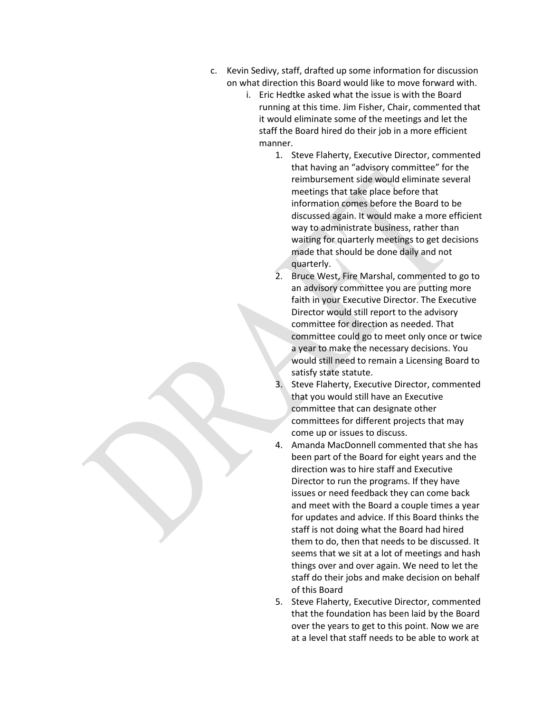- c. Kevin Sedivy, staff, drafted up some information for discussion on what direction this Board would like to move forward with.
	- i. Eric Hedtke asked what the issue is with the Board running at this time. Jim Fisher, Chair, commented that it would eliminate some of the meetings and let the staff the Board hired do their job in a more efficient manner.
		- 1. Steve Flaherty, Executive Director, commented that having an "advisory committee" for the reimbursement side would eliminate several meetings that take place before that information comes before the Board to be discussed again. It would make a more efficient way to administrate business, rather than waiting for quarterly meetings to get decisions made that should be done daily and not quarterly.
		- 2. Bruce West, Fire Marshal, commented to go to an advisory committee you are putting more faith in your Executive Director. The Executive Director would still report to the advisory committee for direction as needed. That committee could go to meet only once or twice a year to make the necessary decisions. You would still need to remain a Licensing Board to satisfy state statute.
		- 3. Steve Flaherty, Executive Director, commented that you would still have an Executive committee that can designate other committees for different projects that may come up or issues to discuss.
		- 4. Amanda MacDonnell commented that she has been part of the Board for eight years and the direction was to hire staff and Executive Director to run the programs. If they have issues or need feedback they can come back and meet with the Board a couple times a year for updates and advice. If this Board thinks the staff is not doing what the Board had hired them to do, then that needs to be discussed. It seems that we sit at a lot of meetings and hash things over and over again. We need to let the staff do their jobs and make decision on behalf of this Board
		- 5. Steve Flaherty, Executive Director, commented that the foundation has been laid by the Board over the years to get to this point. Now we are at a level that staff needs to be able to work at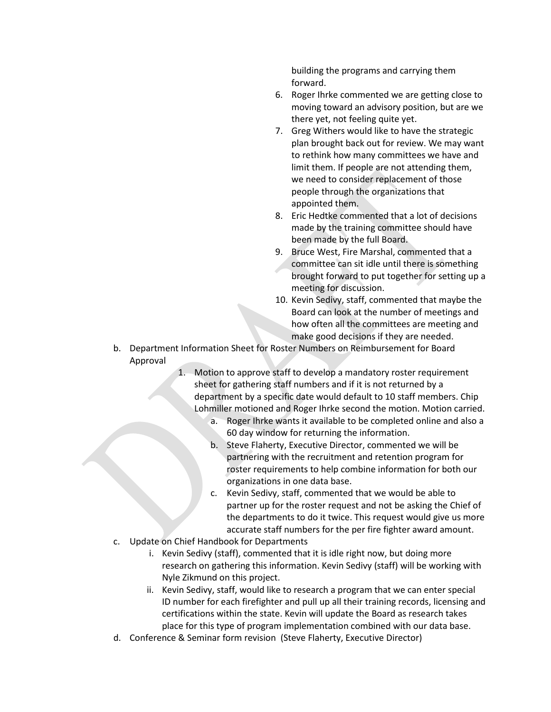building the programs and carrying them forward.

- 6. Roger Ihrke commented we are getting close to moving toward an advisory position, but are we there yet, not feeling quite yet.
- 7. Greg Withers would like to have the strategic plan brought back out for review. We may want to rethink how many committees we have and limit them. If people are not attending them, we need to consider replacement of those people through the organizations that appointed them.
- 8. Eric Hedtke commented that a lot of decisions made by the training committee should have been made by the full Board.
- 9. Bruce West, Fire Marshal, commented that a committee can sit idle until there is something brought forward to put together for setting up a meeting for discussion.
- 10. Kevin Sedivy, staff, commented that maybe the Board can look at the number of meetings and how often all the committees are meeting and make good decisions if they are needed.
- b. Department Information Sheet for Roster Numbers on Reimbursement for Board Approval
	- 1. Motion to approve staff to develop a mandatory roster requirement sheet for gathering staff numbers and if it is not returned by a department by a specific date would default to 10 staff members. Chip Lohmiller motioned and Roger Ihrke second the motion. Motion carried.
		- a. Roger Ihrke wants it available to be completed online and also a 60 day window for returning the information.
		- b. Steve Flaherty, Executive Director, commented we will be partnering with the recruitment and retention program for roster requirements to help combine information for both our organizations in one data base.
		- c. Kevin Sedivy, staff, commented that we would be able to partner up for the roster request and not be asking the Chief of the departments to do it twice. This request would give us more accurate staff numbers for the per fire fighter award amount.
- c. Update on Chief Handbook for Departments
	- i. Kevin Sedivy (staff), commented that it is idle right now, but doing more research on gathering this information. Kevin Sedivy (staff) will be working with Nyle Zikmund on this project.
	- ii. Kevin Sedivy, staff, would like to research a program that we can enter special ID number for each firefighter and pull up all their training records, licensing and certifications within the state. Kevin will update the Board as research takes place for this type of program implementation combined with our data base.
- d. Conference & Seminar form revision (Steve Flaherty, Executive Director)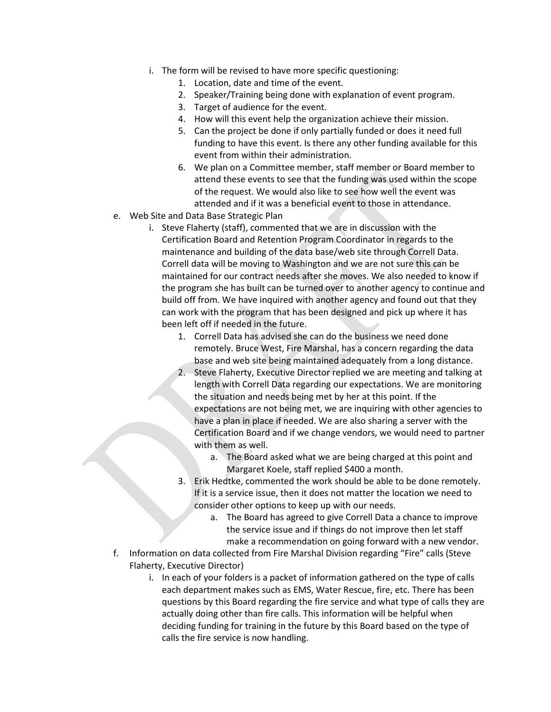- i. The form will be revised to have more specific questioning:
	- 1. Location, date and time of the event.
	- 2. Speaker/Training being done with explanation of event program.
	- 3. Target of audience for the event.
	- 4. How will this event help the organization achieve their mission.
	- 5. Can the project be done if only partially funded or does it need full funding to have this event. Is there any other funding available for this event from within their administration.
	- 6. We plan on a Committee member, staff member or Board member to attend these events to see that the funding was used within the scope of the request. We would also like to see how well the event was attended and if it was a beneficial event to those in attendance.
- e. Web Site and Data Base Strategic Plan
	- i. Steve Flaherty (staff), commented that we are in discussion with the Certification Board and Retention Program Coordinator in regards to the maintenance and building of the data base/web site through Correll Data. Correll data will be moving to Washington and we are not sure this can be maintained for our contract needs after she moves. We also needed to know if the program she has built can be turned over to another agency to continue and build off from. We have inquired with another agency and found out that they can work with the program that has been designed and pick up where it has been left off if needed in the future.
		- 1. Correll Data has advised she can do the business we need done remotely. Bruce West, Fire Marshal, has a concern regarding the data base and web site being maintained adequately from a long distance.
		- 2. Steve Flaherty, Executive Director replied we are meeting and talking at length with Correll Data regarding our expectations. We are monitoring the situation and needs being met by her at this point. If the expectations are not being met, we are inquiring with other agencies to have a plan in place if needed. We are also sharing a server with the Certification Board and if we change vendors, we would need to partner with them as well.
			- a. The Board asked what we are being charged at this point and Margaret Koele, staff replied \$400 a month.
		- 3. Erik Hedtke, commented the work should be able to be done remotely. If it is a service issue, then it does not matter the location we need to consider other options to keep up with our needs.
			- a. The Board has agreed to give Correll Data a chance to improve the service issue and if things do not improve then let staff make a recommendation on going forward with a new vendor.
- f. Information on data collected from Fire Marshal Division regarding "Fire" calls (Steve Flaherty, Executive Director)
	- i. In each of your folders is a packet of information gathered on the type of calls each department makes such as EMS, Water Rescue, fire, etc. There has been questions by this Board regarding the fire service and what type of calls they are actually doing other than fire calls. This information will be helpful when deciding funding for training in the future by this Board based on the type of calls the fire service is now handling.